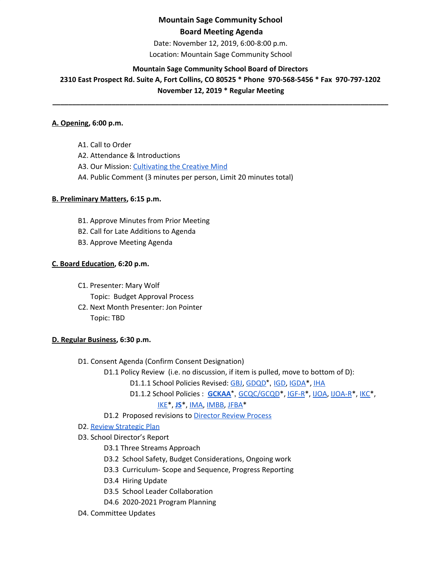# **Mountain Sage Community School Board Meeting Agenda**

Date: November 12, 2019, 6:00-8:00 p.m. Location: Mountain Sage Community School

# **Mountain Sage Community School Board of Directors**

**2310 East Prospect Rd. Suite A, Fort Collins, CO 80525 \* Phone 970-568-5456 \* Fax 970-797-1202 November 12, 2019 \* Regular Meeting**

**\_\_\_\_\_\_\_\_\_\_\_\_\_\_\_\_\_\_\_\_\_\_\_\_\_\_\_\_\_\_\_\_\_\_\_\_\_\_\_\_\_\_\_\_\_\_\_\_\_\_\_\_\_\_\_\_\_\_\_\_\_\_\_\_\_\_\_\_\_\_\_\_\_\_\_\_\_\_\_\_\_\_\_\_\_**

#### **A. Opening, 6:00 p.m.**

A1. Call to Order A2. Attendance & Introductions

- A3. Our Mission: [Cultivating](http://www.mountainsage.org/mission-and-vision.html) the Creative Mind
- A4. Public Comment (3 minutes per person, Limit 20 minutes total)

#### **B. Preliminary Matters, 6:15 p.m.**

- B1. Approve Minutes from Prior Meeting
- B2. Call for Late Additions to Agenda
- B3. Approve Meeting Agenda

## **C. Board Education, 6:20 p.m.**

- C1. Presenter: Mary Wolf
	- Topic: Budget Approval Process
- C2. Next Month Presenter: Jon Pointer Topic: TBD

#### **D. Regular Business, 6:30 p.m.**

- D1. Consent Agenda (Confirm Consent Designation)
	- D1.1 Policy Review (i.e. no discussion, if item is pulled, move to bottom of D):
		- D1.1.1 School Policies Revised: [GBJ,](https://docs.google.com/document/d/1zBGL0j3BZn_8a9fgGaW4crvN8HBLy67ztJIEoGRNvtQ/edit?usp=sharing) [GDQD](https://docs.google.com/document/d/1Ewwb0RIPZasF4ZmW7YUI-MQyvjgK7_aGBF7_874vNm8/edit?usp=sharing)\*, [IGD,](https://drive.google.com/open?id=1dp0fAXOoFv1_XlJI0FYOgRRxLkpDFmdC1HH8hRpezBg) [IGDA\\*](https://docs.google.com/document/d/1ONFLsWwDw5QlA0qGKI4D_B0HvphriPoS0YBWOq-vUs0/edit?usp=sharing), [IHA](https://docs.google.com/document/d/1rMNshX07qFv68v2FzhCZDtcOTvdvQ8-phi6XyMGnv2A/edit?usp=sharing)
		- D1.1.2 School Policies : **[GCKAA](https://docs.google.com/document/d/1Merv1El9rhyfwYMXGs8uSGLrXBBh4bO79vgPTclIKW4/edit?usp=sharing)**\*, GCQC/GCQD<sup>\*</sup>, [IGF-R](https://drive.google.com/open?id=1miaI655qSVx0mkoge_Ogf0wfQe_WHysQOHWy3E8vP_4)<sup>\*</sup>, [IJOA](https://drive.google.com/open?id=127iMJeasFSKC9cgptf53Po-Lt65l7qPxlFaFTCDx8Bc), IJOA-R<sup>\*</sup>, IKC<sup>\*</sup>,

## [IKE](https://drive.google.com/open?id=1I3D9PZVQfAxLNnHPvh6lJbelu0b2F11KL5qVag1aSuo)\*, **[JS](https://docs.google.com/document/d/1rf5GBWs-YOgZhMLOzJxPMH3JRSSvb52K1Sytz0KNBiU/edit?usp=sharing)**\*, [IMA](https://drive.google.com/open?id=17VZ4vkdrp8DLRgyr_-75MwlUIkatEkjdCF-6v9eZCEo), [IMBB](https://drive.google.com/open?id=1qtnQKay_MQNjPbC1t9iNKTNyOhOYyx0p70X1lBEwv3k), [JFBA\\*](https://drive.google.com/open?id=1m83NJgTOFSnZcpq29US3wrK9G-vkSo7I16H8EIPojG0)

D1.2 Proposed revisions t[o](https://docs.google.com/document/d/1UdgmXYE3posfh2bNuV6KAWxQvELogqQaY_AxWWZ-ydc/edit) [Director](https://docs.google.com/document/d/1UdgmXYE3posfh2bNuV6KAWxQvELogqQaY_AxWWZ-ydc/edit) Review Process

# D2. Review [Strategic](https://drive.google.com/file/d/1bIEAL8S8NnDx9PPJRR79h1dLsXFMCh-t/view?usp=sharing) Plan

- D3. School Director's Report
	- D3.1 Three Streams Approach
	- D3.2 School Safety, Budget Considerations, Ongoing work
	- D3.3 Curriculum- Scope and Sequence, Progress Reporting
	- D3.4 Hiring Update
	- D3.5 School Leader Collaboration
	- D4.6 2020-2021 Program Planning
- D4. Committee Updates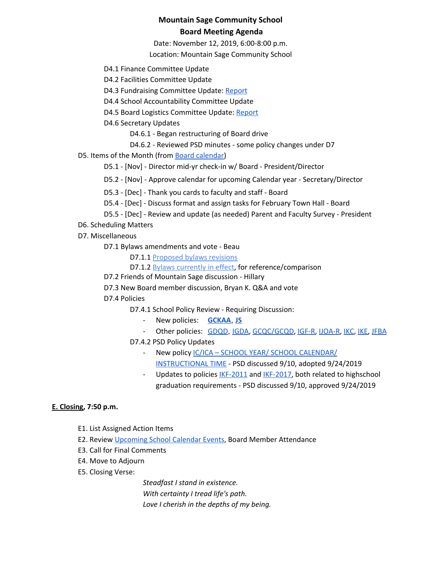# **Mountain Sage Community School Board Meeting Agenda**

Date: November 12, 2019, 6:00-8:00 p.m. Location: Mountain Sage Community School

D4.1 Finance Committee Update

- D4.2 Facilities Committee Update
- D4.3 Fundraising Committee Update: [Report](https://drive.google.com/file/d/1Cf8slWPOBFF-njs57_fiI2piAqsNl0mz/view?usp=sharing)
- D4.4 School Accountability Committee Update
- D4.5 Board Logistics Committee Update: [Report](https://drive.google.com/file/d/1iQ0wx_ne4bKbJmcT7lMCWFO4vKLKvxqs/view?usp=sharing)
- D4.6 Secretary Updates
	- D4.6.1 Began restructuring of Board drive
	- D4.6.2 Reviewed PSD minutes some policy changes under D7
- D5. Items of the Month (from Board [calendar](https://docs.google.com/document/d/12S6s-qevYMsnj8Cr2yw6uMO7S7hL3gz2oKvXZk5ZndQ/edit?usp=sharing))
	- D5.1 [Nov] Director mid-yr check-in w/ Board President/Director
	- D5.2 [Nov] Approve calendar for upcoming Calendar year Secretary/Director
	- D5.3 [Dec] Thank you cards to faculty and staff Board
	- D5.4 [Dec] Discuss format and assign tasks for February Town Hall Board
	- D5.5 [Dec] Review and update (as needed) Parent and Faculty Survey President
- D6. Scheduling Matters
- D7. Miscellaneous
	- D7.1 Bylaws amendments and vote Beau
		- D7.1.1 [Proposed](https://docs.google.com/document/d/18ly5zagJlFNgmPl4aDgzbKXqnwaEYzV4FFlG1qisgX8/edit) bylaws revisions
		- D7.1.2 [B](https://docs.google.com/document/d/1GUAkOMKgoAFg3fQ8wofZJ0Syml1wOjNPEp8sCpAqpgk/edit)ylaws [currently](https://docs.google.com/document/d/1GUAkOMKgoAFg3fQ8wofZJ0Syml1wOjNPEp8sCpAqpgk/edit) in effect, for reference/comparison
	- D7.2 Friends of Mountain Sage discussion Hillary
	- D7.3 New Board member discussion, Bryan K. Q&A and vote
	- D7.4 Policies
		- D7.4.1 School Policy Review Requiring Discussion:
			- New policies: **[GCKAA](https://docs.google.com/document/d/1Merv1El9rhyfwYMXGs8uSGLrXBBh4bO79vgPTclIKW4/edit?usp=sharing)**, **[JS](https://docs.google.com/document/d/1rf5GBWs-YOgZhMLOzJxPMH3JRSSvb52K1Sytz0KNBiU/edit?usp=sharing)**
			- Other policies: [GDQD](https://docs.google.com/document/d/1Ewwb0RIPZasF4ZmW7YUI-MQyvjgK7_aGBF7_874vNm8/edit?usp=sharing), [IGDA,](https://docs.google.com/document/d/1ONFLsWwDw5QlA0qGKI4D_B0HvphriPoS0YBWOq-vUs0/edit?usp=sharing) [GCQC/GCQD](https://docs.google.com/document/d/1D6Iny5P4TJOC1MrB8k0ZQvLsrddkCSKXYFmPRUw2HMo/edit), [IGF-R](https://drive.google.com/open?id=1miaI655qSVx0mkoge_Ogf0wfQe_WHysQOHWy3E8vP_4), [IJOA-R](https://drive.google.com/open?id=10D8cL9gSGsZ4qw0McfOHYMYGB72Y2tjHtReRjqjzPfw), [IKC](https://drive.google.com/open?id=1cgaogQY3tVvadtDpqK5bu3_PBjTILUTrKFvVYDPN50o), [IKE,](https://drive.google.com/open?id=1I3D9PZVQfAxLNnHPvh6lJbelu0b2F11KL5qVag1aSuo) [JFBA](https://drive.google.com/open?id=1m83NJgTOFSnZcpq29US3wrK9G-vkSo7I16H8EIPojG0)
		- D7.4.2 PSD Policy Updates
			- New policy IC/ICA SCHOOL YEAR/ SCHOOL [CALENDAR/](https://www.psdschools.org/sites/default/files/PSD/policies/ICICA.pdf) [INSTRUCTIONAL](https://www.psdschools.org/sites/default/files/PSD/policies/ICICA.pdf) TIME - PSD discussed 9/10, adopted 9/24/2019
			- Updates to policies [IKF-2011](https://www.psdschools.org/sites/default/files/PSD/policies/IKF-2011.pdf) and [IKF-2017,](https://www.psdschools.org/sites/default/files/PSD/policies/IKF-2017.pdf) both related to highschool graduation requirements - PSD discussed 9/10, approved 9/24/2019

#### **E. Closing, 7:50 p.m.**

- E1. List Assigned Action Items
- E2. Review [Upcoming](https://www.mountainsage.org/calendar.html) School Calendar Events, Board Member Attendance
- E3. Call for Final Comments
- E4. Move to Adjourn
- E5. Closing Verse:

*Steadfast I stand in existence. With certainty I tread life's path.*

*Love I cherish in the depths of my being.*